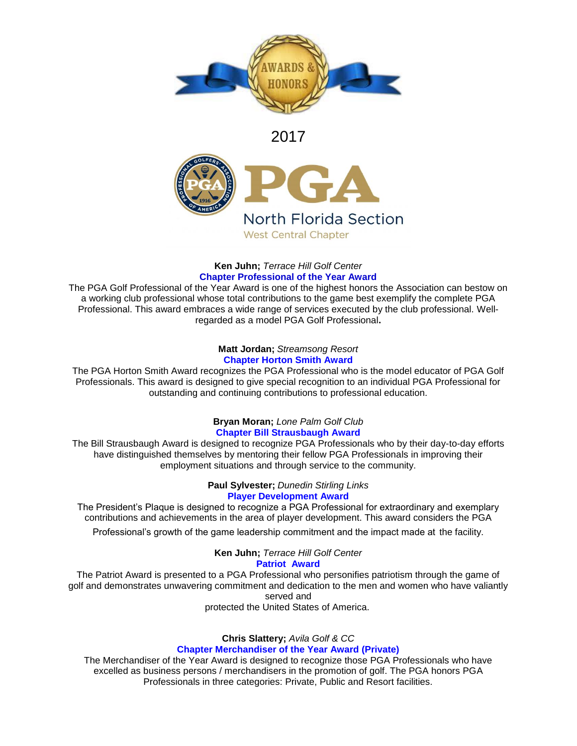

## 2017



## **Ken Juhn;** *Terrace Hill Golf Center* **Chapter Professional of the Year Award**

The PGA Golf Professional of the Year Award is one of the highest honors the Association can bestow on a working club professional whose total contributions to the game best exemplify the complete PGA Professional. This award embraces a wide range of services executed by the club professional. Wellregarded as a model PGA Golf Professional**.**

#### **Matt Jordan;** *Streamsong Resort* **Chapter Horton Smith Award**

The PGA Horton Smith Award recognizes the PGA Professional who is the model educator of PGA Golf Professionals. This award is designed to give special recognition to an individual PGA Professional for outstanding and continuing contributions to professional education.

## **Bryan Moran;** *Lone Palm Golf Club* **Chapter Bill Strausbaugh Award**

The Bill Strausbaugh Award is designed to recognize PGA Professionals who by their day-to-day efforts have distinguished themselves by mentoring their fellow PGA Professionals in improving their employment situations and through service to the community.

> **Paul Sylvester;** *Dunedin Stirling Links* **Player Development Award**

The President's Plaque is designed to recognize a PGA Professional for extraordinary and exemplary contributions and achievements in the area of player development. This award considers the PGA

Professional's growth of the game leadership commitment and the impact made at the facility.

**Ken Juhn;** *Terrace Hill Golf Center* **Patriot Award**

The Patriot Award is presented to a PGA Professional who personifies patriotism through the game of golf and demonstrates unwavering commitment and dedication to the men and women who have valiantly served and

protected the United States of America.

# **Chris Slattery;** *Avila Golf & CC*

## **Chapter Merchandiser of the Year Award (Private)**

The Merchandiser of the Year Award is designed to recognize those PGA Professionals who have excelled as business persons / merchandisers in the promotion of golf. The PGA honors PGA Professionals in three categories: Private, Public and Resort facilities.